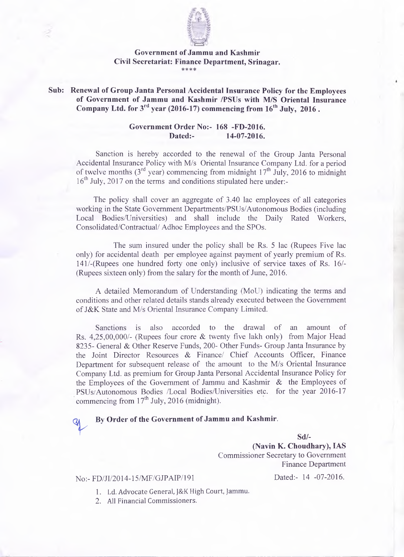

#### **Government of Jammu and Kashmir Civil Secretariat: Finance Department, Srinagar.** \* \* \* \*

#### **Sub: Renewal of Group Janta Personal Accidental Insurance Policy for the Employees of Government of Jammu and Kashmir /PSUs with M/S Oriental Insurance** Company Ltd. for 3<sup>rd</sup> year (2016-17) commencing from 16<sup>th</sup> July, 2016.

## **Government Order No:- 168 -FD-2016. Dated:- 14-07-2016.**

Sanction is hereby accorded to the renewal of the Group Janta Personal Accidental Insurance Policy with M/s Oriental Insurance Company Ltd. for a period of twelve months ( $3<sup>rd</sup>$  year) commencing from midnight  $17<sup>th</sup>$  July, 2016 to midnight 16<sup>th</sup> July, 2017 on the terms and conditions stipulated here under:-

The policy shall cover an aggregate of 3.40 lac employees of all categories working in the State Government Departments/PSUs/Autonomous Bodies (including Local Bodies/Universities) and shall include the Daily Rated Workers, Consolidated/Contractual/ Adhoc Employees and the SPOs.

The sum insured under the policy shall be Rs. 5 lac (Rupees Five lac only) for accidental death per employee against payment of yearly premium of Rs. 141/-(Rupees one hundred forty one only) inclusive of service taxes of Rs. 16/- (Rupees sixteen only) from the salary for the month of June, 2016.

A detailed Memorandum of Understanding (MoU) indicating the terms and conditions and other related details stands already executed between the Government of J&K State and M/s Oriental Insurance Company Limited.

Sanctions is also accorded to the drawal of an amount of Rs. 4,25,00,000/- (Rupees four crore & twenty five lakh only) from Major Head 8235- General & Other Reserve Funds, 200- Other Funds- Group Janta Insurance by the Joint Director Resources & Finance/ Chief Accounts Officer, Finance Department for subsequent release of the amount to the M/s Oriental Insurance Company Ltd. as premium for Group Janta Personal Accidental Insurance Policy for the Employees of the Government of Jammu and Kashmir & the Employees of PSUs/Autonomous Bodies /Local Bodies/Universities etc. for the year 2016-17 commencing from  $17<sup>th</sup>$  July, 2016 (midnight).

## **By Order of the Government of Jammu and Kashmir.**

**Sd/-**

**(Navin K. Choudhary), IAS** Commissioner Secretary to Government Finance Department

# No:- FD/JI/2014-15/MF/GJPAIP/191 Dated:- 14 -07-2016

ap<br>1

- 1. Ld. Advocate General, J&K High Court, Jammu.
- 2. All Financial Commissioners.